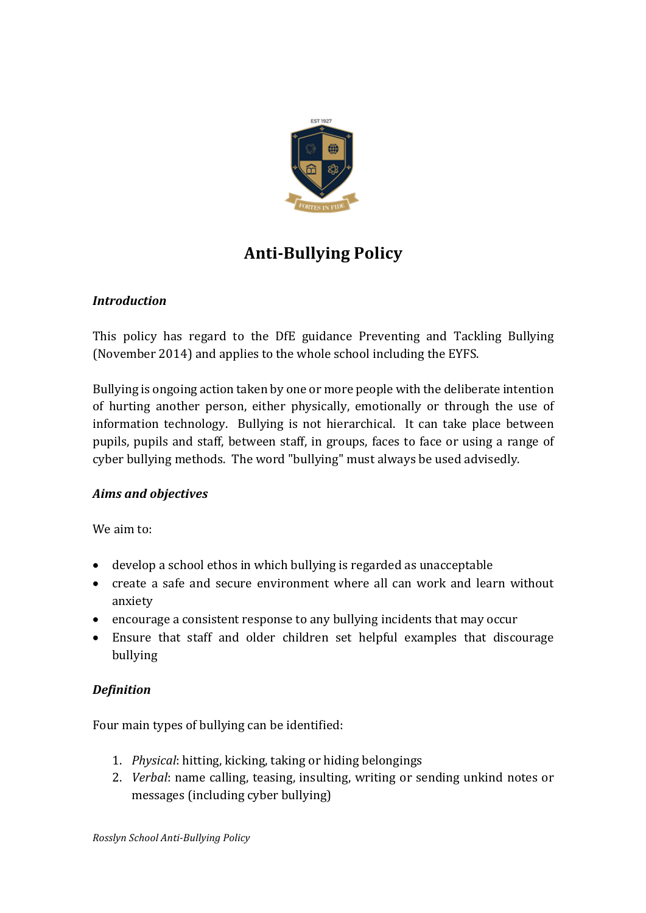

# **Anti-Bullying Policy**

## *Introduction*

This policy has regard to the DfE guidance Preventing and Tackling Bullying (November 2014) and applies to the whole school including the EYFS.

Bullying is ongoing action taken by one or more people with the deliberate intention of hurting another person, either physically, emotionally or through the use of information technology. Bullying is not hierarchical. It can take place between pupils, pupils and staff, between staff, in groups, faces to face or using a range of cyber bullying methods. The word "bullying" must always be used advisedly.

## *Aims and objectives*

We aim to:

- $\bullet$  develop a school ethos in which bullying is regarded as unacceptable
- create a safe and secure environment where all can work and learn without anxiety
- encourage a consistent response to any bullying incidents that may occur
- Ensure that staff and older children set helpful examples that discourage bullying

# *Definition*

Four main types of bullying can be identified:

- 1. *Physical*: hitting, kicking, taking or hiding belongings
- 2. *Verbal*: name calling, teasing, insulting, writing or sending unkind notes or messages (including cyber bullying)

*Rosslyn School Anti-Bullying Policy*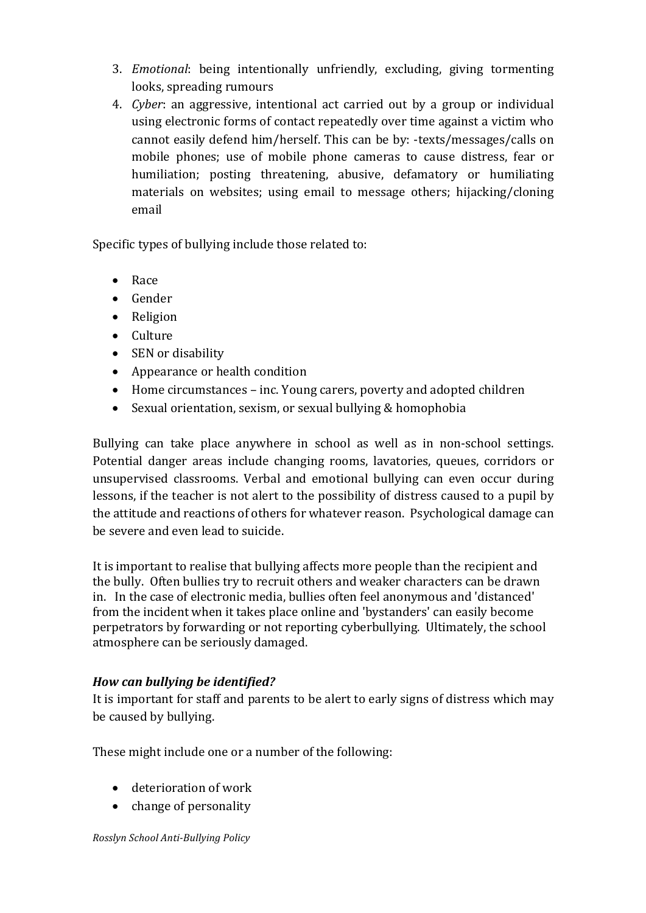- 3. *Emotional*: being intentionally unfriendly, excluding, giving tormenting looks, spreading rumours
- 4. *Cyber*: an aggressive, intentional act carried out by a group or individual using electronic forms of contact repeatedly over time against a victim who cannot easily defend him/herself. This can be by: -texts/messages/calls on mobile phones; use of mobile phone cameras to cause distress, fear or humiliation; posting threatening, abusive, defamatory or humiliating materials on websites; using email to message others; hijacking/cloning email

Specific types of bullying include those related to:

- Race
- Gender
- Religion
- Culture
- SEN or disability
- Appearance or health condition
- $\bullet$  Home circumstances inc. Young carers, poverty and adopted children
- Sexual orientation, sexism, or sexual bullying & homophobia

Bullying can take place anywhere in school as well as in non-school settings. Potential danger areas include changing rooms, lavatories, queues, corridors or unsupervised classrooms. Verbal and emotional bullying can even occur during lessons, if the teacher is not alert to the possibility of distress caused to a pupil by the attitude and reactions of others for whatever reason. Psychological damage can be severe and even lead to suicide.

It is important to realise that bullying affects more people than the recipient and the bully. Often bullies try to recruit others and weaker characters can be drawn in. In the case of electronic media, bullies often feel anonymous and 'distanced' from the incident when it takes place online and 'bystanders' can easily become perpetrators by forwarding or not reporting cyberbullying. Ultimately, the school atmosphere can be seriously damaged.

## *How can bullying be identified?*

It is important for staff and parents to be alert to early signs of distress which may be caused by bullying.

These might include one or a number of the following:

- deterioration of work
- change of personality

*Rosslyn School Anti-Bullying Policy*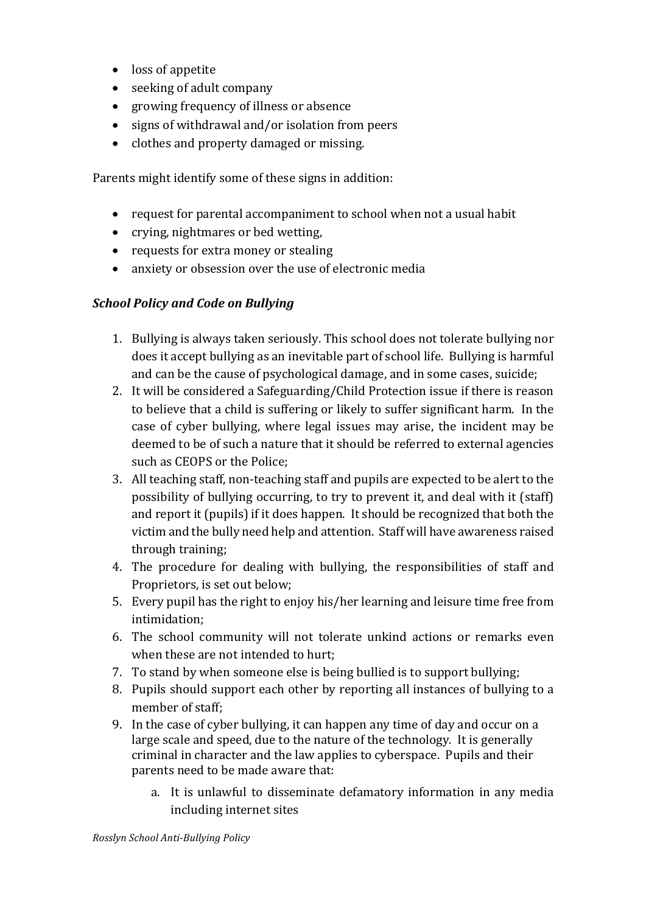- loss of appetite
- seeking of adult company
- growing frequency of illness or absence
- signs of withdrawal and/or isolation from peers
- clothes and property damaged or missing.

Parents might identify some of these signs in addition:

- request for parental accompaniment to school when not a usual habit
- crying, nightmares or bed wetting,
- requests for extra money or stealing
- anxiety or obsession over the use of electronic media

## **School Policy and Code on Bullying**

- 1. Bullying is always taken seriously. This school does not tolerate bullying nor does it accept bullying as an inevitable part of school life. Bullying is harmful and can be the cause of psychological damage, and in some cases, suicide;
- 2. It will be considered a Safeguarding/Child Protection issue if there is reason to believe that a child is suffering or likely to suffer significant harm. In the case of cyber bullying, where legal issues may arise, the incident may be deemed to be of such a nature that it should be referred to external agencies such as CEOPS or the Police:
- 3. All teaching staff, non-teaching staff and pupils are expected to be alert to the possibility of bullying occurring, to try to prevent it, and deal with it (staff) and report it (pupils) if it does happen. It should be recognized that both the victim and the bully need help and attention. Staff will have awareness raised through training;
- 4. The procedure for dealing with bullying, the responsibilities of staff and Proprietors, is set out below;
- 5. Every pupil has the right to enjoy his/her learning and leisure time free from intimidation;
- 6. The school community will not tolerate unkind actions or remarks even when these are not intended to hurt;
- 7. To stand by when someone else is being bullied is to support bullying;
- 8. Pupils should support each other by reporting all instances of bullying to a member of staff:
- 9. In the case of cyber bullying, it can happen any time of day and occur on a large scale and speed, due to the nature of the technology. It is generally criminal in character and the law applies to cyberspace. Pupils and their parents need to be made aware that:
	- a. It is unlawful to disseminate defamatory information in any media including internet sites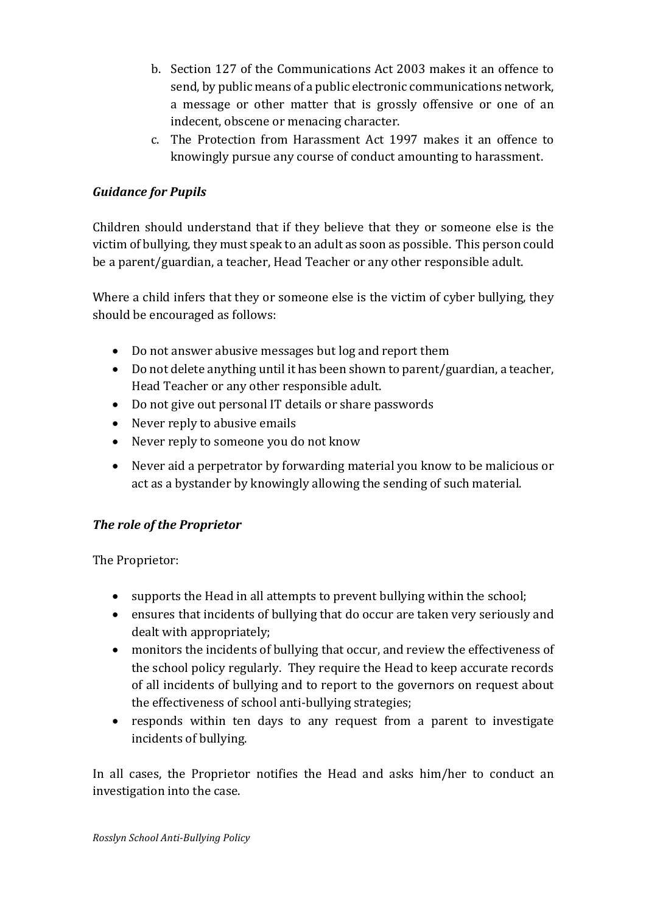- b. Section 127 of the Communications Act 2003 makes it an offence to send, by public means of a public electronic communications network, a message or other matter that is grossly offensive or one of an indecent, obscene or menacing character.
- c. The Protection from Harassment Act 1997 makes it an offence to knowingly pursue any course of conduct amounting to harassment.

# *Guidance for Pupils*

Children should understand that if they believe that they or someone else is the victim of bullying, they must speak to an adult as soon as possible. This person could be a parent/guardian, a teacher, Head Teacher or any other responsible adult.

Where a child infers that they or someone else is the victim of cyber bullying, they should be encouraged as follows:

- Do not answer abusive messages but log and report them
- Do not delete anything until it has been shown to parent/guardian, a teacher, Head Teacher or any other responsible adult.
- Do not give out personal IT details or share passwords
- $\bullet$  Never reply to abusive emails
- Never reply to someone you do not know
- Never aid a perpetrator by forwarding material you know to be malicious or act as a bystander by knowingly allowing the sending of such material.

# **The role of the Proprietor**

The Proprietor:

- supports the Head in all attempts to prevent bullying within the school;
- ensures that incidents of bullying that do occur are taken very seriously and dealt with appropriately;
- monitors the incidents of bullying that occur, and review the effectiveness of the school policy regularly. They require the Head to keep accurate records of all incidents of bullying and to report to the governors on request about the effectiveness of school anti-bullying strategies;
- responds within ten days to any request from a parent to investigate incidents of bullying.

In all cases, the Proprietor notifies the Head and asks him/her to conduct an investigation into the case.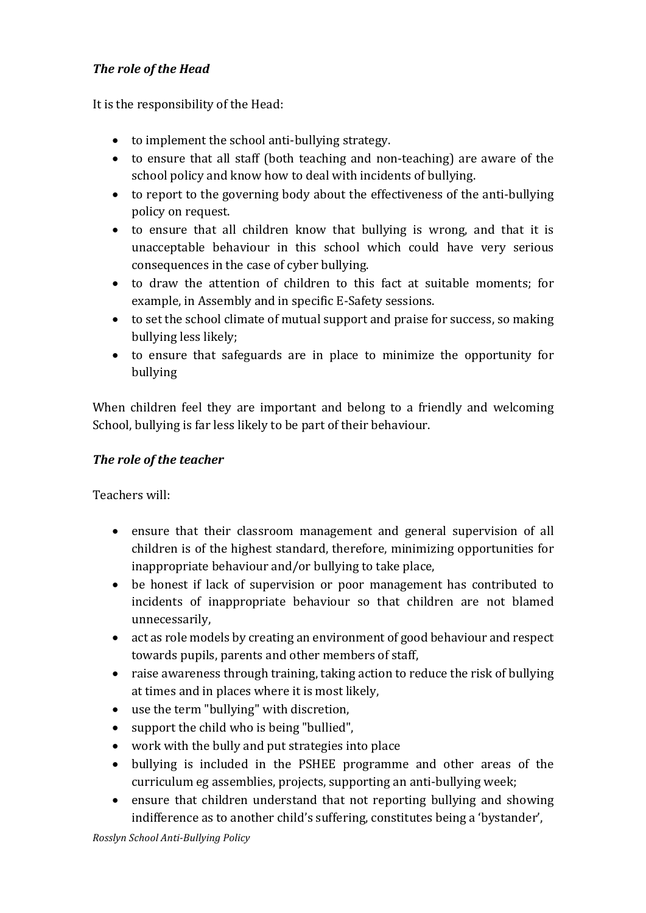# **The role of the Head**

It is the responsibility of the Head:

- $\bullet$  to implement the school anti-bullying strategy.
- to ensure that all staff (both teaching and non-teaching) are aware of the school policy and know how to deal with incidents of bullying.
- to report to the governing body about the effectiveness of the anti-bullying policy on request.
- to ensure that all children know that bullying is wrong, and that it is unacceptable behaviour in this school which could have very serious consequences in the case of cyber bullying.
- to draw the attention of children to this fact at suitable moments; for example, in Assembly and in specific E-Safety sessions.
- to set the school climate of mutual support and praise for success, so making bullying less likely;
- to ensure that safeguards are in place to minimize the opportunity for bullying

When children feel they are important and belong to a friendly and welcoming School, bullying is far less likely to be part of their behaviour.

## **The role of the teacher**

Teachers will:

- ensure that their classroom management and general supervision of all children is of the highest standard, therefore, minimizing opportunities for inappropriate behaviour and/or bullying to take place,
- be honest if lack of supervision or poor management has contributed to incidents of inappropriate behaviour so that children are not blamed unnecessarily,
- act as role models by creating an environment of good behaviour and respect towards pupils, parents and other members of staff,
- raise awareness through training, taking action to reduce the risk of bullying at times and in places where it is most likely,
- $\bullet$  use the term "bullying" with discretion,
- support the child who is being "bullied",
- work with the bully and put strategies into place
- bullying is included in the PSHEE programme and other areas of the curriculum eg assemblies, projects, supporting an anti-bullying week;
- ensure that children understand that not reporting bullying and showing indifference as to another child's suffering, constitutes being a 'bystander',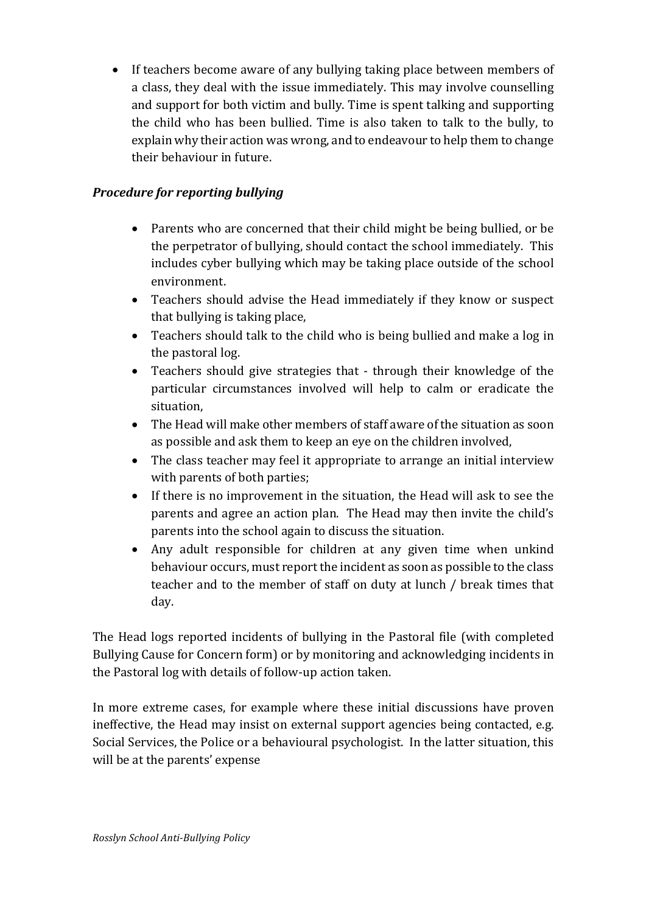• If teachers become aware of any bullying taking place between members of a class, they deal with the issue immediately. This may involve counselling and support for both victim and bully. Time is spent talking and supporting the child who has been bullied. Time is also taken to talk to the bully, to explain why their action was wrong, and to endeavour to help them to change their behaviour in future.

# **Procedure for reporting bullying**

- Parents who are concerned that their child might be being bullied, or be the perpetrator of bullying, should contact the school immediately. This includes cyber bullying which may be taking place outside of the school environment.
- Teachers should advise the Head immediately if they know or suspect that bullying is taking place,
- Teachers should talk to the child who is being bullied and make a log in the pastoral log.
- Teachers should give strategies that through their knowledge of the particular circumstances involved will help to calm or eradicate the situation,
- The Head will make other members of staff aware of the situation as soon as possible and ask them to keep an eye on the children involved,
- The class teacher may feel it appropriate to arrange an initial interview with parents of both parties;
- If there is no improvement in the situation, the Head will ask to see the parents and agree an action plan. The Head may then invite the child's parents into the school again to discuss the situation.
- Any adult responsible for children at any given time when unkind behaviour occurs, must report the incident as soon as possible to the class teacher and to the member of staff on duty at lunch / break times that day.

The Head logs reported incidents of bullying in the Pastoral file (with completed Bullying Cause for Concern form) or by monitoring and acknowledging incidents in the Pastoral log with details of follow-up action taken.

In more extreme cases, for example where these initial discussions have proven ineffective, the Head may insist on external support agencies being contacted, e.g. Social Services, the Police or a behavioural psychologist. In the latter situation, this will be at the parents' expense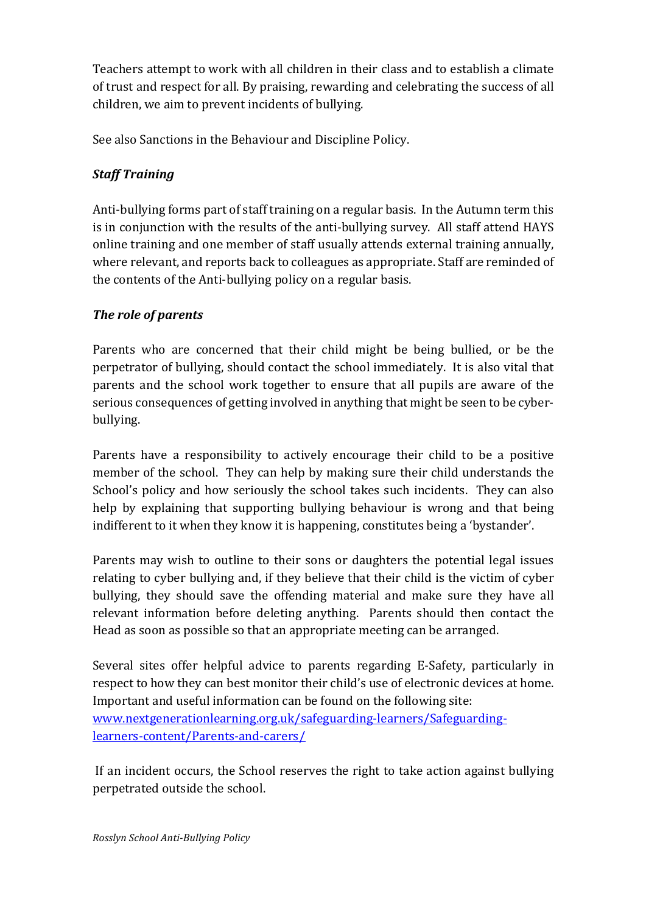Teachers attempt to work with all children in their class and to establish a climate of trust and respect for all. By praising, rewarding and celebrating the success of all children, we aim to prevent incidents of bullying.

See also Sanctions in the Behaviour and Discipline Policy.

# *Staff Training*

Anti-bullying forms part of staff training on a regular basis. In the Autumn term this is in conjunction with the results of the anti-bullying survey. All staff attend HAYS online training and one member of staff usually attends external training annually, where relevant, and reports back to colleagues as appropriate. Staff are reminded of the contents of the Anti-bullying policy on a regular basis.

# **The role of parents**

Parents who are concerned that their child might be being bullied, or be the perpetrator of bullying, should contact the school immediately. It is also vital that parents and the school work together to ensure that all pupils are aware of the serious consequences of getting involved in anything that might be seen to be cyberbullying. 

Parents have a responsibility to actively encourage their child to be a positive member of the school. They can help by making sure their child understands the School's policy and how seriously the school takes such incidents. They can also help by explaining that supporting bullying behaviour is wrong and that being indifferent to it when they know it is happening, constitutes being a 'bystander'.

Parents may wish to outline to their sons or daughters the potential legal issues relating to cyber bullying and, if they believe that their child is the victim of cyber bullying, they should save the offending material and make sure they have all relevant information before deleting anything. Parents should then contact the Head as soon as possible so that an appropriate meeting can be arranged.

Several sites offer helpful advice to parents regarding E-Safety, particularly in respect to how they can best monitor their child's use of electronic devices at home. Important and useful information can be found on the following site: www.nextgenerationlearning.org.uk/safeguarding-learners/Safeguardinglearners-content/Parents-and-carers/

If an incident occurs, the School reserves the right to take action against bullying perpetrated outside the school.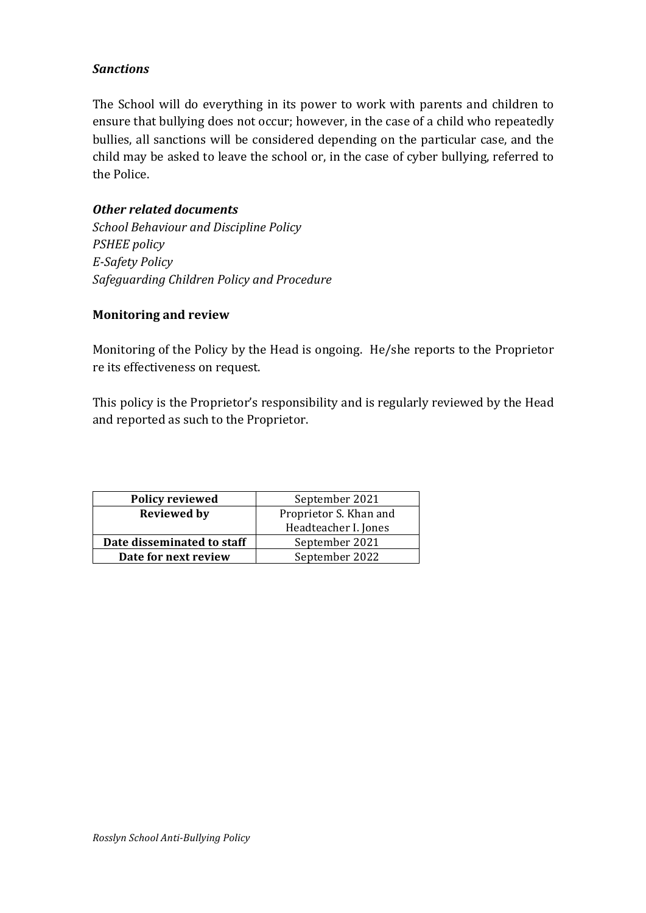## *Sanctions*

The School will do everything in its power to work with parents and children to ensure that bullying does not occur; however, in the case of a child who repeatedly bullies, all sanctions will be considered depending on the particular case, and the child may be asked to leave the school or, in the case of cyber bullying, referred to the Police.

## *Other related documents*

*School Behaviour and Discipline Policy PSHEE policy E-Safety Policy Safeguarding Children Policy and Procedure*

#### **Monitoring and review**

Monitoring of the Policy by the Head is ongoing. He/she reports to the Proprietor re its effectiveness on request.

This policy is the Proprietor's responsibility and is regularly reviewed by the Head and reported as such to the Proprietor.

| <b>Policy reviewed</b>     | September 2021         |
|----------------------------|------------------------|
| <b>Reviewed by</b>         | Proprietor S. Khan and |
|                            | Headteacher I. Jones   |
| Date disseminated to staff | September 2021         |
| Date for next review       | September 2022         |